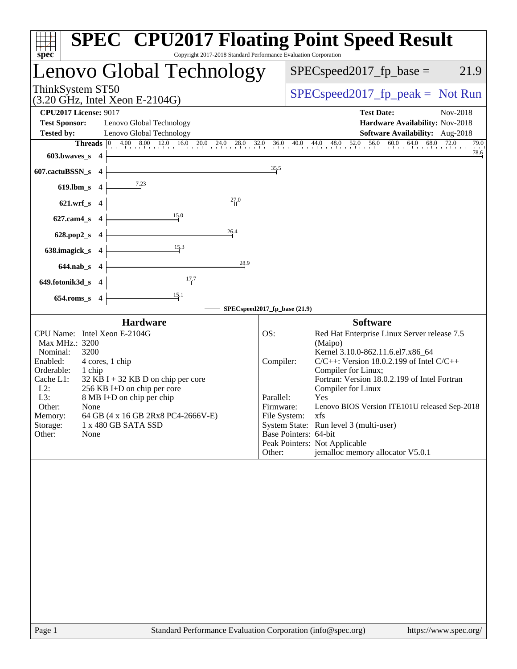|                                                                     | Lenovo Global Technology                                                                                 |              |                              | $SPEC speed2017fp base =$                                           | 21.9                                 |
|---------------------------------------------------------------------|----------------------------------------------------------------------------------------------------------|--------------|------------------------------|---------------------------------------------------------------------|--------------------------------------|
| ThinkSystem ST50<br>$(3.20 \text{ GHz}, \text{Intel Xeon E-2104G})$ |                                                                                                          |              |                              | $SPEC speed2017fr peak = Not Run$                                   |                                      |
| <b>CPU2017 License: 9017</b>                                        |                                                                                                          |              |                              | <b>Test Date:</b>                                                   | Nov-2018                             |
| <b>Test Sponsor:</b>                                                | Lenovo Global Technology                                                                                 |              |                              | Hardware Availability: Nov-2018                                     |                                      |
| <b>Tested by:</b>                                                   | Lenovo Global Technology                                                                                 |              |                              | <b>Software Availability:</b> Aug-2018                              |                                      |
| $603.bwaves$ 4                                                      | <b>Threads</b> $\begin{bmatrix} 0 & 4.00 & 8.00 & 12.0 & 16.0 & 20.0 \\ 1 & 0 & 0 & 1 & 1 \end{bmatrix}$ | 24.0<br>28.0 |                              | $56.0\qquad 60.0$<br>$32.0$ $36.0$ $40.0$ $44.0$ $48.0$ $52.0$      | $64.0$ $68.0$ $72.0$<br>79.0<br>78.6 |
| 607.cactuBSSN_s<br>$\overline{\phantom{a}}$                         |                                                                                                          |              | 35.5                         |                                                                     |                                      |
| 619.lbm_s 4                                                         | 7.23                                                                                                     |              |                              |                                                                     |                                      |
| 621.wrf_s 4                                                         |                                                                                                          | 27.0         |                              |                                                                     |                                      |
| $627$ .cam $4$ <sub>S</sub><br>$\overline{\mathbf{4}}$              | 15.0                                                                                                     |              |                              |                                                                     |                                      |
| $628.pop2_s$<br>$\overline{\mathbf{4}}$                             |                                                                                                          | 26.4         |                              |                                                                     |                                      |
| 638.imagick_s<br>$\overline{\phantom{a}}$                           | 15.3                                                                                                     |              |                              |                                                                     |                                      |
| 644.nab_s 4                                                         |                                                                                                          | 28.9         |                              |                                                                     |                                      |
| 649.fotonik3d_s 4                                                   | 17.7                                                                                                     |              |                              |                                                                     |                                      |
| 654.roms_s 4                                                        | 15.1                                                                                                     |              |                              |                                                                     |                                      |
|                                                                     | <b>Hardware</b>                                                                                          |              | SPECspeed2017_fp_base (21.9) | <b>Software</b>                                                     |                                      |
| CPU Name: Intel Xeon E-2104G                                        |                                                                                                          |              | OS:                          | Red Hat Enterprise Linux Server release 7.5                         |                                      |
| Max MHz.: 3200<br>Nominal:<br>3200                                  |                                                                                                          |              |                              | (Maipo)<br>Kernel 3.10.0-862.11.6.el7.x86_64                        |                                      |
| Enabled:                                                            | 4 cores, 1 chip                                                                                          |              | Compiler:                    | $C/C++$ : Version 18.0.2.199 of Intel $C/C++$                       |                                      |
| Orderable:<br>1 chip<br>Cache L1:                                   | $32$ KB I + 32 KB D on chip per core                                                                     |              |                              | Compiler for Linux;<br>Fortran: Version 18.0.2.199 of Intel Fortran |                                      |
| $L2$ :                                                              | 256 KB I+D on chip per core                                                                              |              |                              | Compiler for Linux                                                  |                                      |
| L3:<br>Other:<br>None                                               | 8 MB I+D on chip per chip                                                                                |              | Parallel:<br>Firmware:       | Yes<br>Lenovo BIOS Version ITE101U released Sep-2018                |                                      |
| Memory:                                                             | 64 GB (4 x 16 GB 2Rx8 PC4-2666V-E)                                                                       |              | File System:                 | xfs                                                                 |                                      |
| Storage:                                                            | 1 x 480 GB SATA SSD                                                                                      |              |                              | System State: Run level 3 (multi-user)                              |                                      |
| None<br>Other:                                                      |                                                                                                          |              | Base Pointers: 64-bit        | Peak Pointers: Not Applicable                                       |                                      |
|                                                                     |                                                                                                          |              | Other:                       | jemalloc memory allocator V5.0.1                                    |                                      |
|                                                                     |                                                                                                          |              |                              |                                                                     |                                      |
| Page 1                                                              | Standard Performance Evaluation Corporation (info@spec.org)                                              |              |                              |                                                                     | https://www.spec.org/                |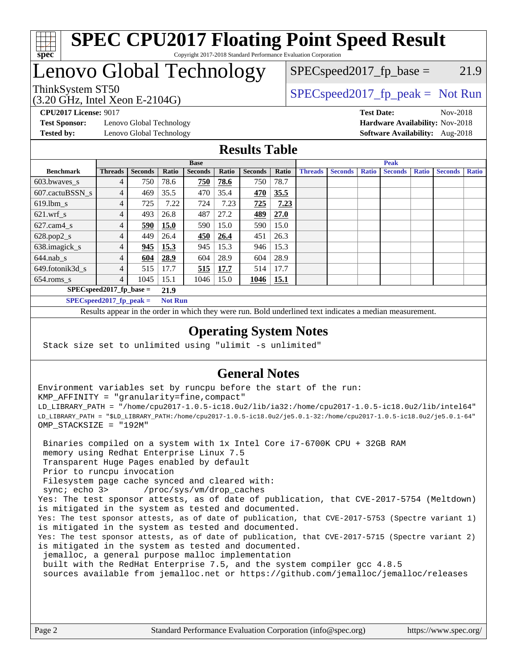

#### **[SPEC CPU2017 Floating Point Speed Result](http://www.spec.org/auto/cpu2017/Docs/result-fields.html#SPECCPU2017FloatingPointSpeedResult)** Copyright 2017-2018 Standard Performance Evaluation Corporation

# Lenovo Global Technology

(3.20 GHz, Intel Xeon E-2104G)

ThinkSystem ST50  $SPEC speed2017$ \_fp\_peak = Not Run  $SPEC speed2017_fp\_base = 21.9$ 

**[Test Sponsor:](http://www.spec.org/auto/cpu2017/Docs/result-fields.html#TestSponsor)** Lenovo Global Technology **[Hardware Availability:](http://www.spec.org/auto/cpu2017/Docs/result-fields.html#HardwareAvailability)** Nov-2018 **[Tested by:](http://www.spec.org/auto/cpu2017/Docs/result-fields.html#Testedby)** Lenovo Global Technology **[Software Availability:](http://www.spec.org/auto/cpu2017/Docs/result-fields.html#SoftwareAvailability)** Aug-2018

**[CPU2017 License:](http://www.spec.org/auto/cpu2017/Docs/result-fields.html#CPU2017License)** 9017 **[Test Date:](http://www.spec.org/auto/cpu2017/Docs/result-fields.html#TestDate)** Nov-2018

### **[Results Table](http://www.spec.org/auto/cpu2017/Docs/result-fields.html#ResultsTable)**

|                                              | <b>Base</b>    |                |             |                | <b>Peak</b> |                |       |                |                |              |                |              |                |              |
|----------------------------------------------|----------------|----------------|-------------|----------------|-------------|----------------|-------|----------------|----------------|--------------|----------------|--------------|----------------|--------------|
| <b>Benchmark</b>                             | <b>Threads</b> | <b>Seconds</b> | Ratio       | <b>Seconds</b> | Ratio       | <b>Seconds</b> | Ratio | <b>Threads</b> | <b>Seconds</b> | <b>Ratio</b> | <b>Seconds</b> | <b>Ratio</b> | <b>Seconds</b> | <b>Ratio</b> |
| 603.bwayes s                                 | 4              | 750            | 78.6        | 750            | 78.6        | 750            | 78.7  |                |                |              |                |              |                |              |
| 607.cactuBSSN s                              |                | 469            | 35.5        | 470            | 35.4        | 470            | 35.5  |                |                |              |                |              |                |              |
| $619.$ lbm s                                 | 4              | 725            | 7.22        | 724            | 7.23        | 725            | 7.23  |                |                |              |                |              |                |              |
| $621.wrf$ s                                  | 4              | 493            | 26.8        | 487            | 27.2        | 489            | 27.0  |                |                |              |                |              |                |              |
| $627$ .cam $4$ <sub>s</sub>                  | 4              | 590            | <b>15.0</b> | 590            | 15.0        | 590            | 15.0  |                |                |              |                |              |                |              |
| $628.pop2_s$                                 | 4              | 449            | 26.4        | 450            | 26.4        | 451            | 26.3  |                |                |              |                |              |                |              |
| 638.imagick_s                                | 4              | 945            | 15.3        | 945            | 15.3        | 946            | 15.3  |                |                |              |                |              |                |              |
| $644$ .nab s                                 | 4              | 604            | 28.9        | 604            | 28.9        | 604            | 28.9  |                |                |              |                |              |                |              |
| 649.fotonik3d s                              | 4              | 515            | 17.7        | 515            | 17.7        | 514            | 17.7  |                |                |              |                |              |                |              |
| $654$ .roms s                                | 4              | 1045           | 15.1        | 1046           | 15.0        | 1046           | 15.1  |                |                |              |                |              |                |              |
| $SPEC speed2017$ fp base =<br>21.9           |                |                |             |                |             |                |       |                |                |              |                |              |                |              |
| $SPECspeed2017_fp\_peak =$<br><b>Not Run</b> |                |                |             |                |             |                |       |                |                |              |                |              |                |              |

Results appear in the [order in which they were run.](http://www.spec.org/auto/cpu2017/Docs/result-fields.html#RunOrder) Bold underlined text [indicates a median measurement](http://www.spec.org/auto/cpu2017/Docs/result-fields.html#Median).

#### **[Operating System Notes](http://www.spec.org/auto/cpu2017/Docs/result-fields.html#OperatingSystemNotes)**

Stack size set to unlimited using "ulimit -s unlimited"

### **[General Notes](http://www.spec.org/auto/cpu2017/Docs/result-fields.html#GeneralNotes)**

Environment variables set by runcpu before the start of the run: KMP\_AFFINITY = "granularity=fine,compact" LD\_LIBRARY\_PATH = "/home/cpu2017-1.0.5-ic18.0u2/lib/ia32:/home/cpu2017-1.0.5-ic18.0u2/lib/intel64" LD\_LIBRARY\_PATH = "\$LD\_LIBRARY\_PATH:/home/cpu2017-1.0.5-ic18.0u2/je5.0.1-32:/home/cpu2017-1.0.5-ic18.0u2/je5.0.1-64" OMP\_STACKSIZE = "192M"

 Binaries compiled on a system with 1x Intel Core i7-6700K CPU + 32GB RAM memory using Redhat Enterprise Linux 7.5 Transparent Huge Pages enabled by default Prior to runcpu invocation Filesystem page cache synced and cleared with: sync; echo 3> /proc/sys/vm/drop\_caches Yes: The test sponsor attests, as of date of publication, that CVE-2017-5754 (Meltdown) is mitigated in the system as tested and documented. Yes: The test sponsor attests, as of date of publication, that CVE-2017-5753 (Spectre variant 1) is mitigated in the system as tested and documented. Yes: The test sponsor attests, as of date of publication, that CVE-2017-5715 (Spectre variant 2) is mitigated in the system as tested and documented. jemalloc, a general purpose malloc implementation built with the RedHat Enterprise 7.5, and the system compiler gcc 4.8.5 sources available from jemalloc.net or <https://github.com/jemalloc/jemalloc/releases>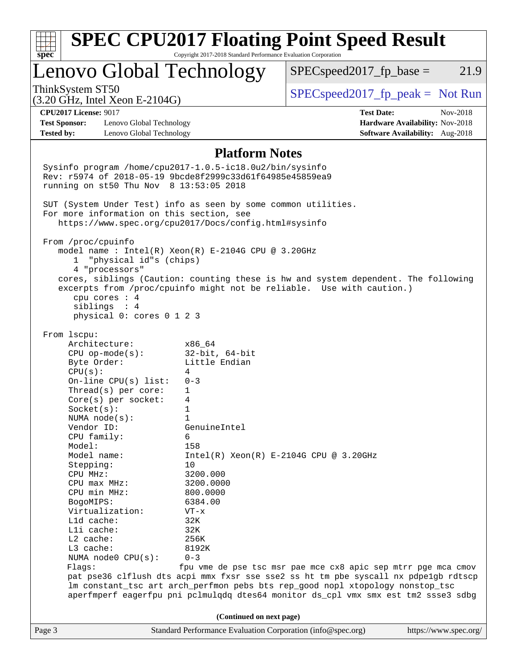|                                                                                                                                                                  |                                                                 | <b>SPEC CPU2017 Floating Point Speed Result</b>                                     |                                 |  |  |  |
|------------------------------------------------------------------------------------------------------------------------------------------------------------------|-----------------------------------------------------------------|-------------------------------------------------------------------------------------|---------------------------------|--|--|--|
| $spec^*$                                                                                                                                                         | Copyright 2017-2018 Standard Performance Evaluation Corporation |                                                                                     |                                 |  |  |  |
| Lenovo Global Technology                                                                                                                                         |                                                                 | $SPEC speed2017fr base =$<br>21.9                                                   |                                 |  |  |  |
| ThinkSystem ST50<br>$(3.20 \text{ GHz}, \text{Intel Xeon E-2104G})$                                                                                              |                                                                 | $SPEC speed2017fp peak = Not Run$                                                   |                                 |  |  |  |
| <b>CPU2017 License: 9017</b>                                                                                                                                     |                                                                 | <b>Test Date:</b>                                                                   | Nov-2018                        |  |  |  |
| <b>Test Sponsor:</b><br>Lenovo Global Technology                                                                                                                 |                                                                 | Hardware Availability: Nov-2018                                                     |                                 |  |  |  |
| <b>Tested by:</b><br>Lenovo Global Technology                                                                                                                    |                                                                 |                                                                                     | Software Availability: Aug-2018 |  |  |  |
|                                                                                                                                                                  | <b>Platform Notes</b>                                           |                                                                                     |                                 |  |  |  |
| Sysinfo program /home/cpu2017-1.0.5-ic18.0u2/bin/sysinfo<br>Rev: r5974 of 2018-05-19 9bcde8f2999c33d61f64985e45859ea9<br>running on st50 Thu Nov 8 13:53:05 2018 |                                                                 |                                                                                     |                                 |  |  |  |
| SUT (System Under Test) info as seen by some common utilities.                                                                                                   |                                                                 |                                                                                     |                                 |  |  |  |
| For more information on this section, see                                                                                                                        |                                                                 |                                                                                     |                                 |  |  |  |
| https://www.spec.org/cpu2017/Docs/config.html#sysinfo                                                                                                            |                                                                 |                                                                                     |                                 |  |  |  |
| From /proc/cpuinfo                                                                                                                                               |                                                                 |                                                                                     |                                 |  |  |  |
| model name: Intel(R) Xeon(R) E-2104G CPU @ 3.20GHz                                                                                                               |                                                                 |                                                                                     |                                 |  |  |  |
| "physical id"s (chips)<br>$1 \quad$                                                                                                                              |                                                                 |                                                                                     |                                 |  |  |  |
| 4 "processors"                                                                                                                                                   |                                                                 |                                                                                     |                                 |  |  |  |
| cores, siblings (Caution: counting these is hw and system dependent. The following<br>excerpts from /proc/cpuinfo might not be reliable. Use with caution.)      |                                                                 |                                                                                     |                                 |  |  |  |
| cpu cores : 4                                                                                                                                                    |                                                                 |                                                                                     |                                 |  |  |  |
| siblings : 4                                                                                                                                                     |                                                                 |                                                                                     |                                 |  |  |  |
| physical 0: cores 0 1 2 3                                                                                                                                        |                                                                 |                                                                                     |                                 |  |  |  |
| From 1scpu:                                                                                                                                                      |                                                                 |                                                                                     |                                 |  |  |  |
| Architecture:                                                                                                                                                    | x86 64                                                          |                                                                                     |                                 |  |  |  |
| $CPU$ op-mode( $s$ ):                                                                                                                                            | $32$ -bit, $64$ -bit                                            |                                                                                     |                                 |  |  |  |
| Byte Order:                                                                                                                                                      | Little Endian                                                   |                                                                                     |                                 |  |  |  |
| CPU(s):                                                                                                                                                          | 4                                                               |                                                                                     |                                 |  |  |  |
| On-line $CPU(s)$ list:                                                                                                                                           | $0 - 3$<br>$\mathbf{1}$                                         |                                                                                     |                                 |  |  |  |
| Thread(s) per core:<br>Core(s) per socket:                                                                                                                       | 4                                                               |                                                                                     |                                 |  |  |  |
| Socket(s):                                                                                                                                                       | 1                                                               |                                                                                     |                                 |  |  |  |
| NUMA node(s):                                                                                                                                                    | 1                                                               |                                                                                     |                                 |  |  |  |
| Vendor ID:                                                                                                                                                       | GenuineIntel                                                    |                                                                                     |                                 |  |  |  |
| CPU family:                                                                                                                                                      | 6                                                               |                                                                                     |                                 |  |  |  |
| Model:                                                                                                                                                           | 158                                                             |                                                                                     |                                 |  |  |  |
| Model name:<br>Stepping:                                                                                                                                         | 10                                                              | $Intel(R) Xeon(R) E-2104G CPU @ 3.20GHz$                                            |                                 |  |  |  |
| CPU MHz:                                                                                                                                                         | 3200.000                                                        |                                                                                     |                                 |  |  |  |
| CPU max MHz:                                                                                                                                                     | 3200.0000                                                       |                                                                                     |                                 |  |  |  |
| CPU min MHz:                                                                                                                                                     | 800.0000                                                        |                                                                                     |                                 |  |  |  |
| BogoMIPS:                                                                                                                                                        | 6384.00                                                         |                                                                                     |                                 |  |  |  |
| Virtualization:                                                                                                                                                  | $VT - x$                                                        |                                                                                     |                                 |  |  |  |
| Lld cache:                                                                                                                                                       | 32K                                                             |                                                                                     |                                 |  |  |  |
| Lli cache:<br>L2 cache:                                                                                                                                          | 32K<br>256K                                                     |                                                                                     |                                 |  |  |  |
| L3 cache:                                                                                                                                                        | 8192K                                                           |                                                                                     |                                 |  |  |  |
| NUMA node0 CPU(s):                                                                                                                                               | $0 - 3$                                                         |                                                                                     |                                 |  |  |  |
| Flags:                                                                                                                                                           |                                                                 | fpu vme de pse tsc msr pae mce cx8 apic sep mtrr pge mca cmov                       |                                 |  |  |  |
|                                                                                                                                                                  |                                                                 | pat pse36 clflush dts acpi mmx fxsr sse sse2 ss ht tm pbe syscall nx pdpelgb rdtscp |                                 |  |  |  |
|                                                                                                                                                                  |                                                                 | lm constant_tsc art arch_perfmon pebs bts rep_good nopl xtopology nonstop_tsc       |                                 |  |  |  |
|                                                                                                                                                                  |                                                                 | aperfmperf eagerfpu pni pclmulqdq dtes64 monitor ds_cpl vmx smx est tm2 ssse3 sdbg  |                                 |  |  |  |
|                                                                                                                                                                  | (Continued on next page)                                        |                                                                                     |                                 |  |  |  |
| Page 3                                                                                                                                                           | Standard Performance Evaluation Corporation (info@spec.org)     |                                                                                     | https://www.spec.org/           |  |  |  |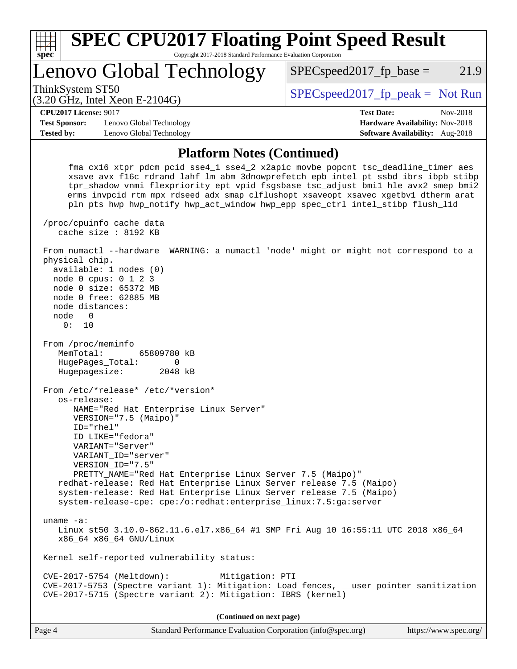

 fma cx16 xtpr pdcm pcid sse4\_1 sse4\_2 x2apic movbe popcnt tsc\_deadline\_timer aes xsave avx f16c rdrand lahf\_lm abm 3dnowprefetch epb intel\_pt ssbd ibrs ibpb stibp tpr\_shadow vnmi flexpriority ept vpid fsgsbase tsc\_adjust bmi1 hle avx2 smep bmi2 erms invpcid rtm mpx rdseed adx smap clflushopt xsaveopt xsavec xgetbv1 dtherm arat pln pts hwp hwp\_notify hwp\_act\_window hwp\_epp spec\_ctrl intel\_stibp flush\_l1d /proc/cpuinfo cache data cache size : 8192 KB From numactl --hardware WARNING: a numactl 'node' might or might not correspond to a physical chip. available: 1 nodes (0) node 0 cpus: 0 1 2 3 node 0 size: 65372 MB node 0 free: 62885 MB node distances: node 0 0: 10 From /proc/meminfo MemTotal: 65809780 kB HugePages\_Total: 0 Hugepagesize: 2048 kB From /etc/\*release\* /etc/\*version\* os-release: NAME="Red Hat Enterprise Linux Server" VERSION="7.5 (Maipo)" ID="rhel" ID\_LIKE="fedora" VARIANT="Server" VARIANT\_ID="server" VERSION\_ID="7.5" PRETTY\_NAME="Red Hat Enterprise Linux Server 7.5 (Maipo)" redhat-release: Red Hat Enterprise Linux Server release 7.5 (Maipo) system-release: Red Hat Enterprise Linux Server release 7.5 (Maipo) system-release-cpe: cpe:/o:redhat:enterprise\_linux:7.5:ga:server uname -a: Linux st50 3.10.0-862.11.6.el7.x86\_64 #1 SMP Fri Aug 10 16:55:11 UTC 2018 x86\_64 x86\_64 x86\_64 GNU/Linux Kernel self-reported vulnerability status: CVE-2017-5754 (Meltdown): Mitigation: PTI CVE-2017-5753 (Spectre variant 1): Mitigation: Load fences, \_\_user pointer sanitization CVE-2017-5715 (Spectre variant 2): Mitigation: IBRS (kernel) **(Continued on next page)**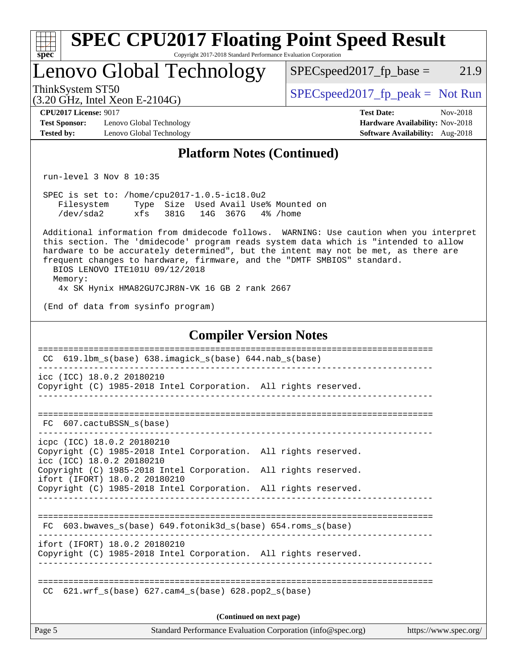| Lenovo Global Technology                                                                                                                                                                                                                                                                                                                                                                                                                                                                                                                                                                            |                   | $SPEC speed2017fp base =$                                   | 21.9                                                                           |
|-----------------------------------------------------------------------------------------------------------------------------------------------------------------------------------------------------------------------------------------------------------------------------------------------------------------------------------------------------------------------------------------------------------------------------------------------------------------------------------------------------------------------------------------------------------------------------------------------------|-------------------|-------------------------------------------------------------|--------------------------------------------------------------------------------|
| ThinkSystem ST50                                                                                                                                                                                                                                                                                                                                                                                                                                                                                                                                                                                    |                   | $SPEC speed2017fr peak = Not Run$                           |                                                                                |
| $(3.20 \text{ GHz}, \text{Intel Xeon E-2104G})$<br><b>CPU2017 License: 9017</b><br><b>Test Sponsor:</b><br>Lenovo Global Technology<br><b>Tested by:</b><br>Lenovo Global Technology                                                                                                                                                                                                                                                                                                                                                                                                                |                   | <b>Test Date:</b>                                           | Nov-2018<br>Hardware Availability: Nov-2018<br>Software Availability: Aug-2018 |
|                                                                                                                                                                                                                                                                                                                                                                                                                                                                                                                                                                                                     |                   | <b>Platform Notes (Continued)</b>                           |                                                                                |
| run-level $3$ Nov $8$ 10:35                                                                                                                                                                                                                                                                                                                                                                                                                                                                                                                                                                         |                   |                                                             |                                                                                |
| SPEC is set to: /home/cpu2017-1.0.5-ic18.0u2<br>Filesystem Type Size Used Avail Use% Mounted on<br>/dev/sda2<br>Additional information from dmidecode follows. WARNING: Use caution when you interpret<br>this section. The 'dmidecode' program reads system data which is "intended to allow<br>hardware to be accurately determined", but the intent may not be met, as there are<br>frequent changes to hardware, firmware, and the "DMTF SMBIOS" standard.<br>BIOS LENOVO ITE101U 09/12/2018<br>Memory:<br>4x SK Hynix HMA82GU7CJR8N-VK 16 GB 2 rank 2667<br>(End of data from sysinfo program) | xfs 381G 14G 367G | 4% /home                                                    |                                                                                |
|                                                                                                                                                                                                                                                                                                                                                                                                                                                                                                                                                                                                     |                   | <b>Compiler Version Notes</b>                               |                                                                                |
| CC 619.1bm_s(base) 638.imagick_s(base) 644.nab_s(base)<br>icc (ICC) 18.0.2 20180210<br>Copyright (C) 1985-2018 Intel Corporation. All rights reserved.                                                                                                                                                                                                                                                                                                                                                                                                                                              |                   |                                                             |                                                                                |
| 607.cactuBSSN s(base)<br>FC.                                                                                                                                                                                                                                                                                                                                                                                                                                                                                                                                                                        |                   |                                                             |                                                                                |
| icpc (ICC) 18.0.2 20180210<br>Copyright (C) 1985-2018 Intel Corporation. All rights reserved.<br>icc (ICC) 18.0.2 20180210<br>Copyright (C) 1985-2018 Intel Corporation. All rights reserved.<br>ifort (IFORT) 18.0.2 20180210<br>Copyright (C) 1985-2018 Intel Corporation. All rights reserved.                                                                                                                                                                                                                                                                                                   |                   |                                                             |                                                                                |
| FC 603.bwaves_s(base) 649.fotonik3d_s(base) 654.roms_s(base)<br>ifort (IFORT) 18.0.2 20180210                                                                                                                                                                                                                                                                                                                                                                                                                                                                                                       |                   |                                                             |                                                                                |
| Copyright (C) 1985-2018 Intel Corporation. All rights reserved.<br>$621.wrf\_s(base)$ $627.cam4_s(base)$ $628.pop2_s(base)$<br>CC.                                                                                                                                                                                                                                                                                                                                                                                                                                                                  |                   |                                                             |                                                                                |
|                                                                                                                                                                                                                                                                                                                                                                                                                                                                                                                                                                                                     |                   | (Continued on next page)                                    |                                                                                |
| Page 5                                                                                                                                                                                                                                                                                                                                                                                                                                                                                                                                                                                              |                   | Standard Performance Evaluation Corporation (info@spec.org) | https://www.spec.org/                                                          |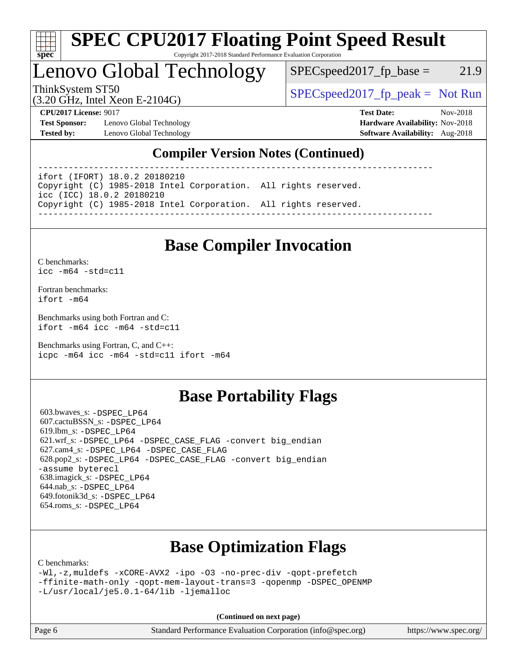

#### **[SPEC CPU2017 Floating Point Speed Result](http://www.spec.org/auto/cpu2017/Docs/result-fields.html#SPECCPU2017FloatingPointSpeedResult)** Copyright 2017-2018 Standard Performance Evaluation Corporation

Lenovo Global Technology

 $SPEC speed2017_fp\_base = 21.9$ 

(3.20 GHz, Intel Xeon E-2104G)

ThinkSystem ST50  $SPEC speed2017$ \_fp\_peak = Not Run

**[Test Sponsor:](http://www.spec.org/auto/cpu2017/Docs/result-fields.html#TestSponsor)** Lenovo Global Technology **[Hardware Availability:](http://www.spec.org/auto/cpu2017/Docs/result-fields.html#HardwareAvailability)** Nov-2018 **[Tested by:](http://www.spec.org/auto/cpu2017/Docs/result-fields.html#Testedby)** Lenovo Global Technology **[Software Availability:](http://www.spec.org/auto/cpu2017/Docs/result-fields.html#SoftwareAvailability)** Aug-2018

**[CPU2017 License:](http://www.spec.org/auto/cpu2017/Docs/result-fields.html#CPU2017License)** 9017 **[Test Date:](http://www.spec.org/auto/cpu2017/Docs/result-fields.html#TestDate)** Nov-2018

### **[Compiler Version Notes \(Continued\)](http://www.spec.org/auto/cpu2017/Docs/result-fields.html#CompilerVersionNotes)**

------------------------------------------------------------------------------

ifort (IFORT) 18.0.2 20180210 Copyright (C) 1985-2018 Intel Corporation. All rights reserved. icc (ICC) 18.0.2 20180210 Copyright (C) 1985-2018 Intel Corporation. All rights reserved. ------------------------------------------------------------------------------

# **[Base Compiler Invocation](http://www.spec.org/auto/cpu2017/Docs/result-fields.html#BaseCompilerInvocation)**

[C benchmarks](http://www.spec.org/auto/cpu2017/Docs/result-fields.html#Cbenchmarks): [icc -m64 -std=c11](http://www.spec.org/cpu2017/results/res2018q4/cpu2017-20181210-10135.flags.html#user_CCbase_intel_icc_64bit_c11_33ee0cdaae7deeeab2a9725423ba97205ce30f63b9926c2519791662299b76a0318f32ddfffdc46587804de3178b4f9328c46fa7c2b0cd779d7a61945c91cd35)

[Fortran benchmarks](http://www.spec.org/auto/cpu2017/Docs/result-fields.html#Fortranbenchmarks): [ifort -m64](http://www.spec.org/cpu2017/results/res2018q4/cpu2017-20181210-10135.flags.html#user_FCbase_intel_ifort_64bit_24f2bb282fbaeffd6157abe4f878425411749daecae9a33200eee2bee2fe76f3b89351d69a8130dd5949958ce389cf37ff59a95e7a40d588e8d3a57e0c3fd751)

[Benchmarks using both Fortran and C](http://www.spec.org/auto/cpu2017/Docs/result-fields.html#BenchmarksusingbothFortranandC): [ifort -m64](http://www.spec.org/cpu2017/results/res2018q4/cpu2017-20181210-10135.flags.html#user_CC_FCbase_intel_ifort_64bit_24f2bb282fbaeffd6157abe4f878425411749daecae9a33200eee2bee2fe76f3b89351d69a8130dd5949958ce389cf37ff59a95e7a40d588e8d3a57e0c3fd751) [icc -m64 -std=c11](http://www.spec.org/cpu2017/results/res2018q4/cpu2017-20181210-10135.flags.html#user_CC_FCbase_intel_icc_64bit_c11_33ee0cdaae7deeeab2a9725423ba97205ce30f63b9926c2519791662299b76a0318f32ddfffdc46587804de3178b4f9328c46fa7c2b0cd779d7a61945c91cd35)

[Benchmarks using Fortran, C, and C++:](http://www.spec.org/auto/cpu2017/Docs/result-fields.html#BenchmarksusingFortranCandCXX) [icpc -m64](http://www.spec.org/cpu2017/results/res2018q4/cpu2017-20181210-10135.flags.html#user_CC_CXX_FCbase_intel_icpc_64bit_4ecb2543ae3f1412ef961e0650ca070fec7b7afdcd6ed48761b84423119d1bf6bdf5cad15b44d48e7256388bc77273b966e5eb805aefd121eb22e9299b2ec9d9) [icc -m64 -std=c11](http://www.spec.org/cpu2017/results/res2018q4/cpu2017-20181210-10135.flags.html#user_CC_CXX_FCbase_intel_icc_64bit_c11_33ee0cdaae7deeeab2a9725423ba97205ce30f63b9926c2519791662299b76a0318f32ddfffdc46587804de3178b4f9328c46fa7c2b0cd779d7a61945c91cd35) [ifort -m64](http://www.spec.org/cpu2017/results/res2018q4/cpu2017-20181210-10135.flags.html#user_CC_CXX_FCbase_intel_ifort_64bit_24f2bb282fbaeffd6157abe4f878425411749daecae9a33200eee2bee2fe76f3b89351d69a8130dd5949958ce389cf37ff59a95e7a40d588e8d3a57e0c3fd751)

## **[Base Portability Flags](http://www.spec.org/auto/cpu2017/Docs/result-fields.html#BasePortabilityFlags)**

 603.bwaves\_s: [-DSPEC\\_LP64](http://www.spec.org/cpu2017/results/res2018q4/cpu2017-20181210-10135.flags.html#suite_basePORTABILITY603_bwaves_s_DSPEC_LP64) 607.cactuBSSN\_s: [-DSPEC\\_LP64](http://www.spec.org/cpu2017/results/res2018q4/cpu2017-20181210-10135.flags.html#suite_basePORTABILITY607_cactuBSSN_s_DSPEC_LP64) 619.lbm\_s: [-DSPEC\\_LP64](http://www.spec.org/cpu2017/results/res2018q4/cpu2017-20181210-10135.flags.html#suite_basePORTABILITY619_lbm_s_DSPEC_LP64) 621.wrf\_s: [-DSPEC\\_LP64](http://www.spec.org/cpu2017/results/res2018q4/cpu2017-20181210-10135.flags.html#suite_basePORTABILITY621_wrf_s_DSPEC_LP64) [-DSPEC\\_CASE\\_FLAG](http://www.spec.org/cpu2017/results/res2018q4/cpu2017-20181210-10135.flags.html#b621.wrf_s_baseCPORTABILITY_DSPEC_CASE_FLAG) [-convert big\\_endian](http://www.spec.org/cpu2017/results/res2018q4/cpu2017-20181210-10135.flags.html#user_baseFPORTABILITY621_wrf_s_convert_big_endian_c3194028bc08c63ac5d04de18c48ce6d347e4e562e8892b8bdbdc0214820426deb8554edfa529a3fb25a586e65a3d812c835984020483e7e73212c4d31a38223) 627.cam4\_s: [-DSPEC\\_LP64](http://www.spec.org/cpu2017/results/res2018q4/cpu2017-20181210-10135.flags.html#suite_basePORTABILITY627_cam4_s_DSPEC_LP64) [-DSPEC\\_CASE\\_FLAG](http://www.spec.org/cpu2017/results/res2018q4/cpu2017-20181210-10135.flags.html#b627.cam4_s_baseCPORTABILITY_DSPEC_CASE_FLAG) 628.pop2\_s: [-DSPEC\\_LP64](http://www.spec.org/cpu2017/results/res2018q4/cpu2017-20181210-10135.flags.html#suite_basePORTABILITY628_pop2_s_DSPEC_LP64) [-DSPEC\\_CASE\\_FLAG](http://www.spec.org/cpu2017/results/res2018q4/cpu2017-20181210-10135.flags.html#b628.pop2_s_baseCPORTABILITY_DSPEC_CASE_FLAG) [-convert big\\_endian](http://www.spec.org/cpu2017/results/res2018q4/cpu2017-20181210-10135.flags.html#user_baseFPORTABILITY628_pop2_s_convert_big_endian_c3194028bc08c63ac5d04de18c48ce6d347e4e562e8892b8bdbdc0214820426deb8554edfa529a3fb25a586e65a3d812c835984020483e7e73212c4d31a38223) [-assume byterecl](http://www.spec.org/cpu2017/results/res2018q4/cpu2017-20181210-10135.flags.html#user_baseFPORTABILITY628_pop2_s_assume_byterecl_7e47d18b9513cf18525430bbf0f2177aa9bf368bc7a059c09b2c06a34b53bd3447c950d3f8d6c70e3faf3a05c8557d66a5798b567902e8849adc142926523472) 638.imagick\_s: [-DSPEC\\_LP64](http://www.spec.org/cpu2017/results/res2018q4/cpu2017-20181210-10135.flags.html#suite_basePORTABILITY638_imagick_s_DSPEC_LP64) 644.nab\_s: [-DSPEC\\_LP64](http://www.spec.org/cpu2017/results/res2018q4/cpu2017-20181210-10135.flags.html#suite_basePORTABILITY644_nab_s_DSPEC_LP64) 649.fotonik3d\_s: [-DSPEC\\_LP64](http://www.spec.org/cpu2017/results/res2018q4/cpu2017-20181210-10135.flags.html#suite_basePORTABILITY649_fotonik3d_s_DSPEC_LP64) 654.roms\_s: [-DSPEC\\_LP64](http://www.spec.org/cpu2017/results/res2018q4/cpu2017-20181210-10135.flags.html#suite_basePORTABILITY654_roms_s_DSPEC_LP64)

# **[Base Optimization Flags](http://www.spec.org/auto/cpu2017/Docs/result-fields.html#BaseOptimizationFlags)**

[C benchmarks](http://www.spec.org/auto/cpu2017/Docs/result-fields.html#Cbenchmarks):

```
-Wl,-z,muldefs -xCORE-AVX2 -ipo -O3 -no-prec-div -qopt-prefetch
-ffinite-math-only -qopt-mem-layout-trans=3 -qopenmp -DSPEC_OPENMP
-L/usr/local/je5.0.1-64/lib -ljemalloc
```
**(Continued on next page)**